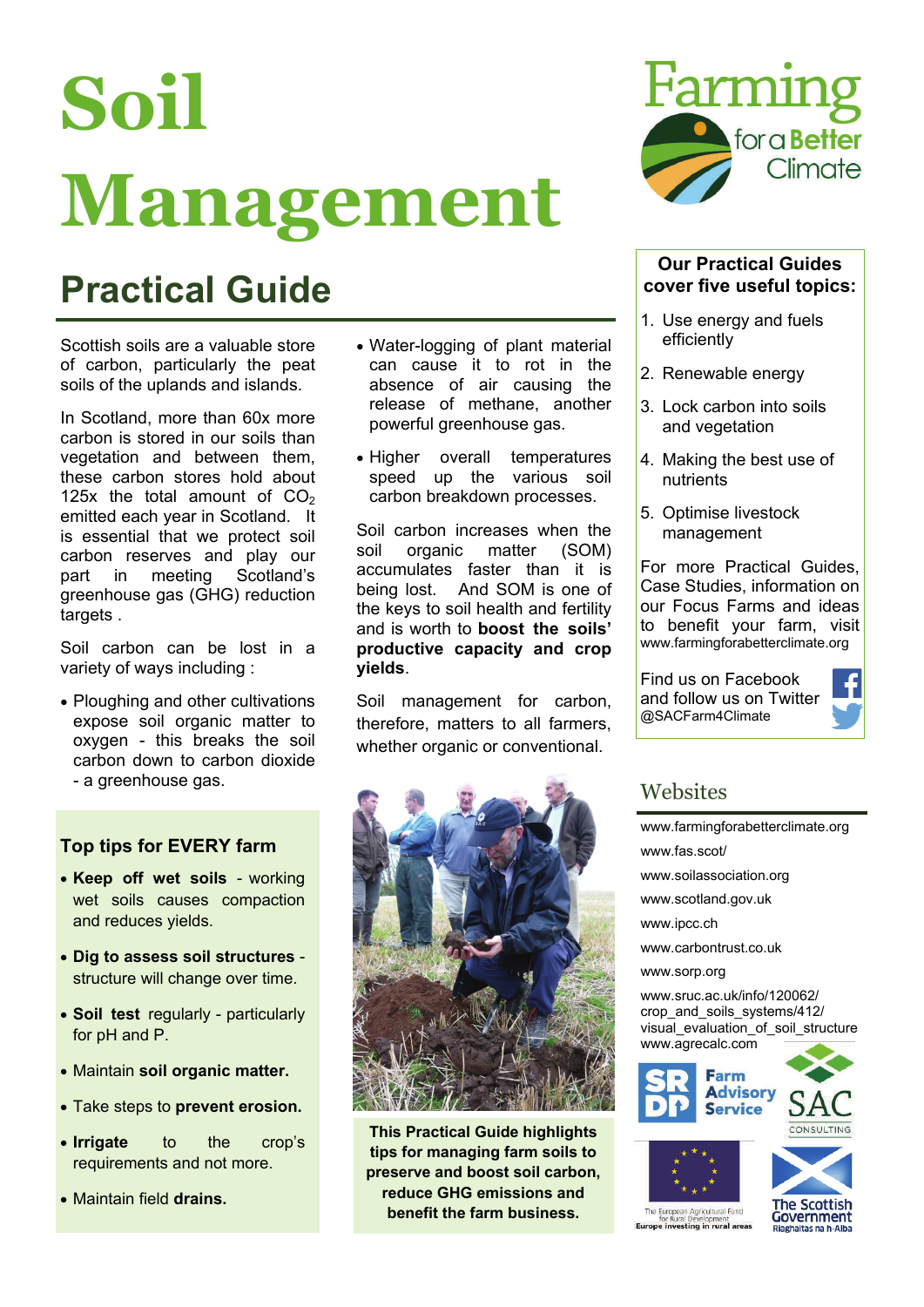# **Soil Management**

### **Practical Guide**

Scottish soils are a valuable store of carbon, particularly the peat soils of the uplands and islands.

In Scotland, more than 60x more carbon is stored in our soils than vegetation and between them, these carbon stores hold about 125x the total amount of  $CO<sub>2</sub>$ emitted each year in Scotland. It is essential that we protect soil carbon reserves and play our part in meeting Scotland's greenhouse gas (GHG) reduction targets .

Soil carbon can be lost in a variety of ways including :

• Ploughing and other cultivations expose soil organic matter to oxygen - this breaks the soil carbon down to carbon dioxide - a greenhouse gas.

#### **Top tips for EVERY farm**

- **Keep off wet soils**  working wet soils causes compaction and reduces yields.
- **Dig to assess soil structures**  structure will change over time.
- **Soil test** regularly particularly for pH and P.
- Maintain **soil organic matter.**
- Take steps to **prevent erosion.**
- **Irrigate** to the crop's requirements and not more.
- Maintain field **drains.**
- Water-logging of plant material can cause it to rot in the absence of air causing the release of methane, another powerful greenhouse gas.
- Higher overall temperatures speed up the various soil carbon breakdown processes.

Soil carbon increases when the soil organic matter (SOM) accumulates faster than it is being lost. And SOM is one of the keys to soil health and fertility and is worth to **boost the soils' productive capacity and crop yields**.

Soil management for carbon, therefore, matters to all farmers, whether organic or conventional.



**This Practical Guide highlights tips for managing farm soils to preserve and boost soil carbon, reduce GHG emissions and benefit the farm business.** 



#### **Our Practical Guides cover five useful topics:**

- 1. Use energy and fuels efficiently
- 2. Renewable energy
- 3. Lock carbon into soils and vegetation
- 4. Making the best use of nutrients
- 5. Optimise livestock management

For more Practical Guides, Case Studies, information on our Focus Farms and ideas to benefit your farm, visit www.farmingforabetterclimate.org

Find us on Facebook and follow us on Twitter @SACFarm4Climate



#### **Websites**

[www.farmingforabetterclimate.org](http://www.farmingforabetterclimate.org/) www.fas.scot/ [www.soilassociation.org](http://www.soilassociation.org)  [www.scotland.gov.uk](http://www.scotland.gov.uk)  [www.ipcc.ch](http://www.ipcc.ch)  www.carbontrust.co.uk [www.sorp.org](http://www.sorp.org)  [www.sruc.ac.uk/info/120062/](http://www.sruc.ac.uk/info/120062/crop_and_soils_systems/412/visual_evaluation_of_soil_structure) [crop\\_and\\_soils\\_systems/412/](http://www.sruc.ac.uk/info/120062/crop_and_soils_systems/412/visual_evaluation_of_soil_structure) visual evaluation of soil structure [www.agrecalc.com](http://www.agrecalc.com)